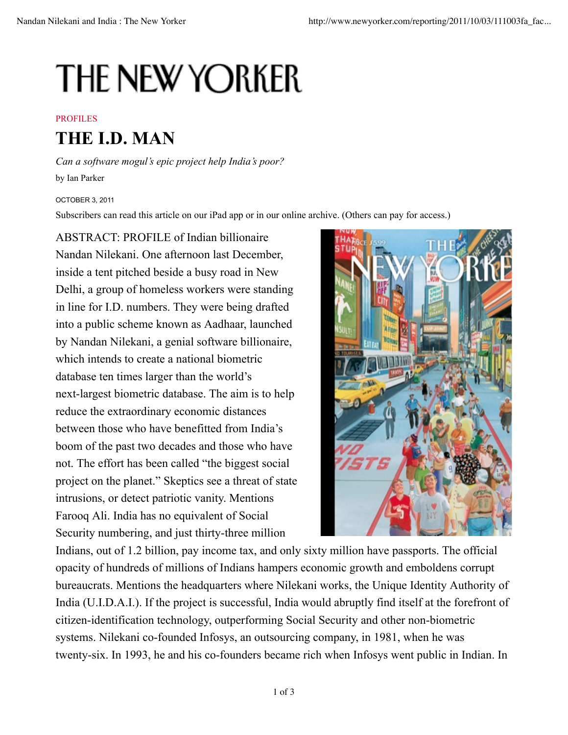## **THE NEW YORKER**

## PROFILES

## **THE I.D. MAN**

*Can a software mogul's epic project help India's poor?* by Ian Parker

OCTOBER 3, 2011

Subscribers can read this article on our iPad app or in our online archive. (Others can pay for access.)

ABSTRACT: PROFILE of Indian billionaire Nandan Nilekani. One afternoon last December, inside a tent pitched beside a busy road in New Delhi, a group of homeless workers were standing in line for I.D. numbers. They were being drafted into a public scheme known as Aadhaar, launched by Nandan Nilekani, a genial software billionaire, which intends to create a national biometric database ten times larger than the world's next-largest biometric database. The aim is to help reduce the extraordinary economic distances between those who have benefitted from India's boom of the past two decades and those who have not. The effort has been called "the biggest social project on the planet." Skeptics see a threat of state intrusions, or detect patriotic vanity. Mentions Farooq Ali. India has no equivalent of Social Security numbering, and just thirty-three million



Indians, out of 1.2 billion, pay income tax, and only sixty million have passports. The official opacity of hundreds of millions of Indians hampers economic growth and emboldens corrupt bureaucrats. Mentions the headquarters where Nilekani works, the Unique Identity Authority of India (U.I.D.A.I.). If the project is successful, India would abruptly find itself at the forefront of citizen-identification technology, outperforming Social Security and other non-biometric systems. Nilekani co-founded Infosys, an outsourcing company, in 1981, when he was twenty-six. In 1993, he and his co-founders became rich when Infosys went public in Indian. In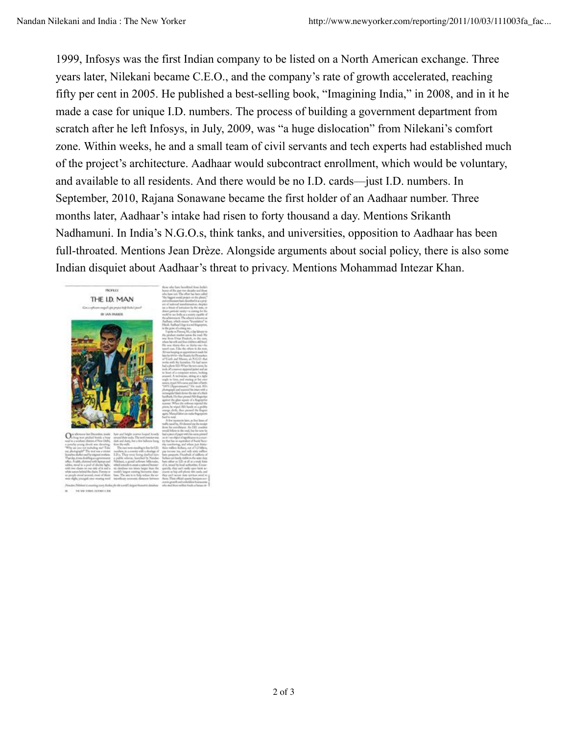1999, Infosys was the first Indian company to be listed on a North American exchange. Three years later, Nilekani became C.E.O., and the company's rate of growth accelerated, reaching fifty per cent in 2005. He published a best-selling book, "Imagining India," in 2008, and in it he made a case for unique I.D. numbers. The process of building a government department from scratch after he left Infosys, in July, 2009, was "a huge dislocation" from Nilekani's comfort zone. Within weeks, he and a small team of civil servants and tech experts had established much of the project's architecture. Aadhaar would subcontract enrollment, which would be voluntary, and available to all residents. And there would be no I.D. cards—just I.D. numbers. In September, 2010, Rajana Sonawane became the first holder of an Aadhaar number. Three months later, Aadhaar's intake had risen to forty thousand a day. Mentions Srikanth Nadhamuni. In India's N.G.O.s, think tanks, and universities, opposition to Aadhaar has been full-throated. Mentions Jean Drèze. Alongside arguments about social policy, there is also some Indian disquiet about Aadhaar's threat to privacy. Mentions Mohammad Intezar Khan.